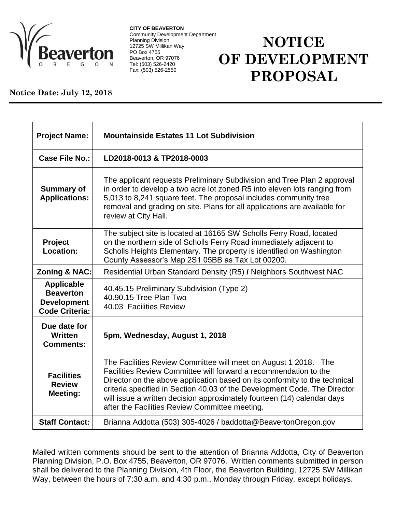

**CITY OF BEAVERTON** Community Development Department Planning Division 12725 SW Millikan Way PO Box 4755 Beaverton, OR 97076 Tel: (503) 526-2420 Fax: (503) 526-2550

## **NOTICE OF DEVELOPMENT PROPOSAL**

## **Notice Date: July 12, 2018**

| <b>Project Name:</b>                                                                 | <b>Mountainside Estates 11 Lot Subdivision</b>                                                                                                                                                                                                                                                                                                                                                                              |
|--------------------------------------------------------------------------------------|-----------------------------------------------------------------------------------------------------------------------------------------------------------------------------------------------------------------------------------------------------------------------------------------------------------------------------------------------------------------------------------------------------------------------------|
| Case File No.:                                                                       | LD2018-0013 & TP2018-0003                                                                                                                                                                                                                                                                                                                                                                                                   |
| <b>Summary of</b><br><b>Applications:</b>                                            | The applicant requests Preliminary Subdivision and Tree Plan 2 approval<br>in order to develop a two acre lot zoned R5 into eleven lots ranging from<br>5,013 to 8,241 square feet. The proposal includes community tree<br>removal and grading on site. Plans for all applications are available for<br>review at City Hall.                                                                                               |
| <b>Project</b><br><b>Location:</b>                                                   | The subject site is located at 16165 SW Scholls Ferry Road, located<br>on the northern side of Scholls Ferry Road immediately adjacent to<br>Scholls Heights Elementary. The property is identified on Washington<br>County Assessor's Map 2S1 05BB as Tax Lot 00200.                                                                                                                                                       |
| Zoning & NAC:                                                                        | Residential Urban Standard Density (R5) / Neighbors Southwest NAC                                                                                                                                                                                                                                                                                                                                                           |
| <b>Applicable</b><br><b>Beaverton</b><br><b>Development</b><br><b>Code Criteria:</b> | 40.45.15 Preliminary Subdivision (Type 2)<br>40.90.15 Tree Plan Two<br>40.03 Facilities Review                                                                                                                                                                                                                                                                                                                              |
| Due date for<br>Written<br><b>Comments:</b>                                          | 5pm, Wednesday, August 1, 2018                                                                                                                                                                                                                                                                                                                                                                                              |
| <b>Facilities</b><br><b>Review</b><br><b>Meeting:</b>                                | The Facilities Review Committee will meet on August 1 2018. The<br>Facilities Review Committee will forward a recommendation to the<br>Director on the above application based on its conformity to the technical<br>criteria specified in Section 40.03 of the Development Code. The Director<br>will issue a written decision approximately fourteen (14) calendar days<br>after the Facilities Review Committee meeting. |
| <b>Staff Contact:</b>                                                                | Brianna Addotta (503) 305-4026 / baddotta@BeavertonOregon.gov                                                                                                                                                                                                                                                                                                                                                               |

Mailed written comments should be sent to the attention of Brianna Addotta, City of Beaverton Planning Division, P.O. Box 4755, Beaverton, OR 97076. Written comments submitted in person shall be delivered to the Planning Division, 4th Floor, the Beaverton Building, 12725 SW Millikan Way, between the hours of 7:30 a.m. and 4:30 p.m., Monday through Friday, except holidays.